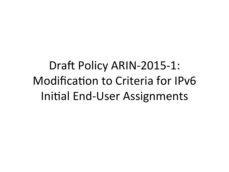Draft Policy ARIN-2015-1: Modification to Criteria for IPv6 Initial End-User Assignments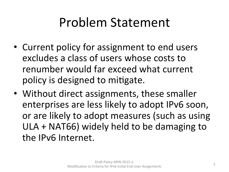## Problem Statement

- Current policy for assignment to end users excludes a class of users whose costs to renumber would far exceed what current policy is designed to mitigate.
- Without direct assignments, these smaller enterprises are less likely to adopt IPv6 soon, or are likely to adopt measures (such as using  $ULA + NAT66$ ) widely held to be damaging to the IPv6 Internet.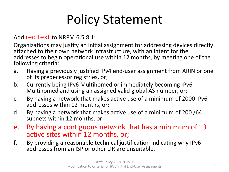# Policy Statement

#### Add red text to NRPM  $6.5.8.1$ :

Organizations may justify an initial assignment for addressing devices directly attached to their own network infrastructure, with an intent for the addresses to begin operational use within 12 months, by meeting one of the following criteria:

- a. Having a previously justified IPv4 end-user assignment from ARIN or one of its predecessor registries, or;
- b. Currently being IPv6 Multihomed or immediately becoming IPv6 Multihomed and using an assigned valid global AS number, or;
- c. By having a network that makes active use of a minimum of 2000 IPv6 addresses within 12 months, or;
- d. By having a network that makes active use of a minimum of 200/64 subnets within 12 months, or:
- e. By having a contiguous network that has a minimum of 13 active sites within 12 months, or;
- f. By providing a reasonable technical justification indicating why IPv6 addresses from an ISP or other LIR are unsuitable.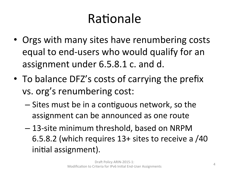## Rationale

- Orgs with many sites have renumbering costs equal to end-users who would qualify for an assignment under 6.5.8.1 c. and d.
- To balance DFZ's costs of carrying the prefix vs. org's renumbering cost:
	- $-$  Sites must be in a contiguous network, so the assignment can be announced as one route
	- $-$  13-site minimum threshold, based on NRPM 6.5.8.2 (which requires  $13+$  sites to receive a  $/40$ initial assignment).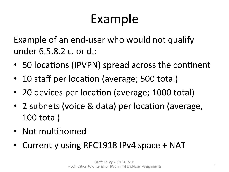# Example

Example of an end-user who would not qualify under 6.5.8.2 c. or d.:

- 50 locations (IPVPN) spread across the continent
- 10 staff per location (average; 500 total)
- 20 devices per location (average; 1000 total)
- 2 subnets (voice & data) per location (average, 100 total)
- Not multihomed
- Currently using RFC1918 IPv4 space + NAT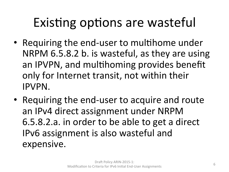# Existing options are wasteful

- Requiring the end-user to multihome under NRPM 6.5.8.2 b. is wasteful, as they are using an IPVPN, and multihoming provides benefit only for Internet transit, not within their IPVPN.
- Requiring the end-user to acquire and route an IPv4 direct assignment under NRPM 6.5.8.2.a. in order to be able to get a direct IPv6 assignment is also wasteful and expensive.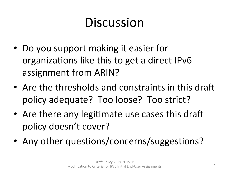# Discussion

- Do you support making it easier for organizations like this to get a direct IPv6 assignment from ARIN?
- Are the thresholds and constraints in this draft policy adequate? Too loose? Too strict?
- Are there any legitimate use cases this draft policy doesn't cover?
- Any other questions/concerns/suggestions?